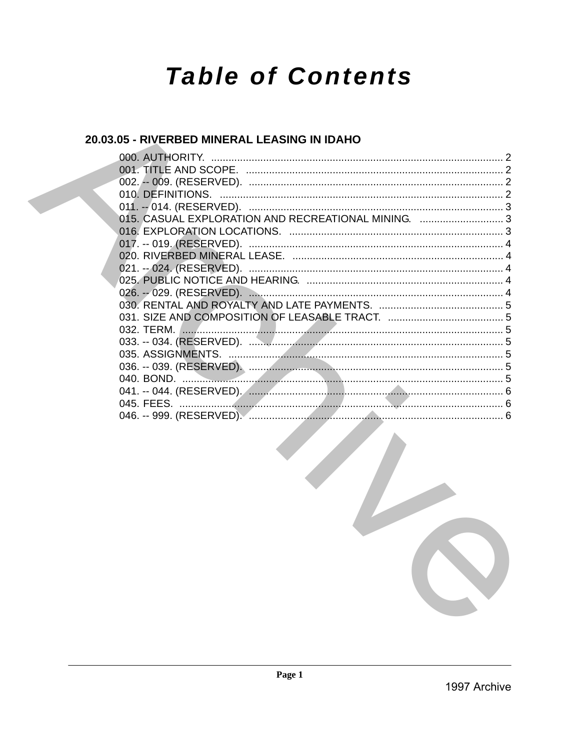# **Table of Contents**

# 20.03.05 - RIVERBED MINERAL LEASING IN IDAHO

| 015. CASUAL EXPLORATION AND RECREATIONAL MINING. 3 |  |
|----------------------------------------------------|--|
|                                                    |  |
|                                                    |  |
|                                                    |  |
|                                                    |  |
|                                                    |  |
|                                                    |  |
|                                                    |  |
|                                                    |  |
|                                                    |  |
|                                                    |  |
|                                                    |  |
|                                                    |  |
|                                                    |  |
|                                                    |  |
|                                                    |  |
|                                                    |  |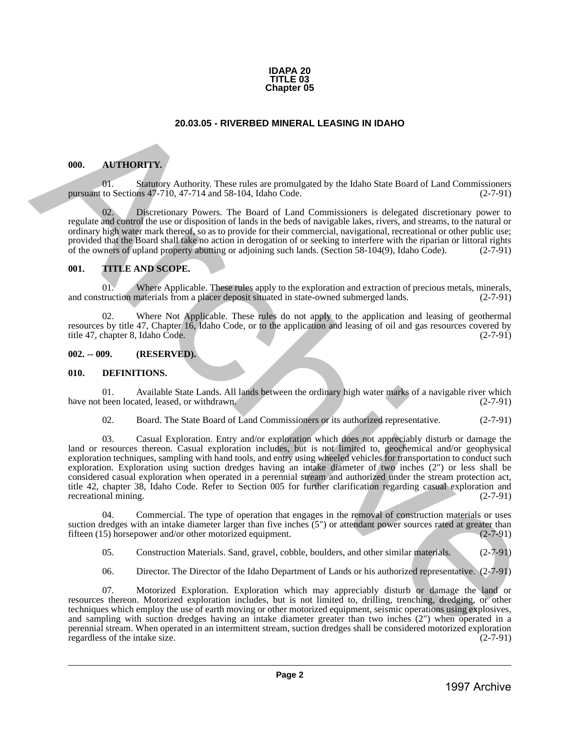

#### **20.03.05 - RIVERBED MINERAL LEASING IN IDAHO**

#### <span id="page-1-1"></span>**000. AUTHORITY.**

01. Statutory Authority. These rules are promulgated by the Idaho State Board of Land Commissioners to Sections 47-710, 47-714 and 58-104, Idaho Code. (2-7-91) pursuant to Sections  $47-710$ ,  $47-714$  and  $58-104$ , Idaho Code.

Discretionary Powers. The Board of Land Commissioners is delegated discretionary power to regulate and control the use or disposition of lands in the beds of navigable lakes, rivers, and streams, to the natural or ordinary high water mark thereof, so as to provide for their commercial, navigational, recreational or other public use; provided that the Board shall take no action in derogation of or seeking to interfere with the riparian or littoral rights of the owners of upland property abutting or adjoining such lands. (Section 58-104(9), Idaho Code). of the owners of upland property abutting or adjoining such lands. (Section 58-104(9), Idaho Code).

#### <span id="page-1-2"></span>**001. TITLE AND SCOPE.**

01. Where Applicable. These rules apply to the exploration and extraction of precious metals, minerals, truction materials from a placer deposit situated in state-owned submerged lands. (2-7-91) and construction materials from a placer deposit situated in state-owned submerged lands.

02. Where Not Applicable. These rules do not apply to the application and leasing of geothermal resources by title 47, Chapter 16, Idaho Code, or to the application and leasing of oil and gas resources covered by title 47, chapter 8, Idaho Code.

#### <span id="page-1-3"></span>**002. -- 009. (RESERVED).**

#### <span id="page-1-4"></span>**010. DEFINITIONS.**

01. Available State Lands. All lands between the ordinary high water marks of a navigable river which been located, leased, or withdrawn. (2-7-91) have not been located, leased, or withdrawn.

02. Board. The State Board of Land Commissioners or its authorized representative. (2-7-91)

<span id="page-1-0"></span>03. Casual Exploration. Entry and/or exploration which does not appreciably disturb or damage the land or resources thereon. Casual exploration includes, but is not limited to, geochemical and/or geophysical exploration techniques, sampling with hand tools, and entry using wheeled vehicles for transportation to conduct such exploration. Exploration using suction dredges having an intake diameter of two inches (2") or less shall be considered casual exploration when operated in a perennial stream and authorized under the stream protection act, title 42, chapter 38, Idaho Code. Refer to Section 005 for further clarification regarding casual exploration and recreational mining. (2-7-91) **20.03.05 - RIVERBED MINERAL LEASING IN IDAHO<br>
1997 METHOD IN A CONTINUEST CHEV ARE AND A CONSIDER THE MAIN CONSIDER THE VALUE OF CONSIDER THE VALUE OF CONSIDER THE VALUE OF CONSIDER THE VALUE OF CONSIDER THE VALUE OF CON** 

04. Commercial. The type of operation that engages in the removal of construction materials or uses suction dredges with an intake diameter larger than five inches (5") or attendant power sources rated at greater than fifteen (15) horsepower and/or other motorized equipment. (2-7-91)

05. Construction Materials. Sand, gravel, cobble, boulders, and other similar materials. (2-7-91)

06. Director. The Director of the Idaho Department of Lands or his authorized representative. (2-7-91)

07. Motorized Exploration. Exploration which may appreciably disturb or damage the land or resources thereon. Motorized exploration includes, but is not limited to, drilling, trenching, dredging, or other techniques which employ the use of earth moving or other motorized equipment, seismic operations using explosives, and sampling with suction dredges having an intake diameter greater than two inches (2") when operated in a perennial stream. When operated in an intermittent stream, suction dredges shall be considered motorized exploration regardless of the intake size. (2-7-91)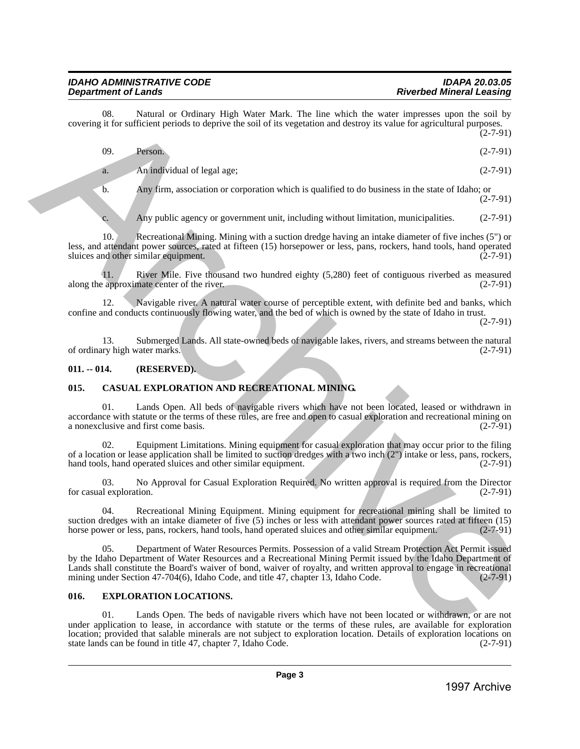08. Natural or Ordinary High Water Mark. The line which the water impresses upon the soil by covering it for sufficient periods to deprive the soil of its vegetation and destroy its value for agricultural purposes. (2-7-91)

| 09.<br>Person. | $(2-7-91)$ |
|----------------|------------|
|----------------|------------|

a. An individual of legal age;  $(2-7-91)$ 

b. Any firm, association or corporation which is qualified to do business in the state of Idaho; or (2-7-91)

c. Any public agency or government unit, including without limitation, municipalities. (2-7-91)

10. Recreational Mining. Mining with a suction dredge having an intake diameter of five inches (5") or less, and attendant power sources, rated at fifteen (15) horsepower or less, pans, rockers, hand tools, hand operated sluices and other similar equipment.

11. River Mile. Five thousand two hundred eighty (5,280) feet of contiguous riverbed as measured along the approximate center of the river. (2-7-91)

12. Navigable river. A natural water course of perceptible extent, with definite bed and banks, which confine and conducts continuously flowing water, and the bed of which is owned by the state of Idaho in trust. (2-7-91)

13. Submerged Lands. All state-owned beds of navigable lakes, rivers, and streams between the natural (2-7-91) of ordinary high water marks.

# <span id="page-2-0"></span>**011. -- 014. (RESERVED).**

# <span id="page-2-1"></span>**015. CASUAL EXPLORATION AND RECREATIONAL MINING.**

01. Lands Open. All beds of navigable rivers which have not been located, leased or withdrawn in accordance with statute or the terms of these rules, are free and open to casual exploration and recreational mining on a nonexclusive and first come basis. (2-7-91)

02. Equipment Limitations. Mining equipment for casual exploration that may occur prior to the filing of a location or lease application shall be limited to suction dredges with a two inch  $(2")$  intake or less, pans, rockers, hand tools, hand operated sluices and other similar equipment.  $(2-7-91)$ hand tools, hand operated sluices and other similar equipment.

03. No Approval for Casual Exploration Required. No written approval is required from the Director (2-7-91) for casual exploration.

04. Recreational Mining Equipment. Mining equipment for recreational mining shall be limited to suction dredges with an intake diameter of five (5) inches or less with attendant power sources rated at fifteen (15) horse power or less, pans, rockers, hand tools, hand operated sluices and other similar equipment. (2-7-91)

05. Department of Water Resources Permits. Possession of a valid Stream Protection Act Permit issued by the Idaho Department of Water Resources and a Recreational Mining Permit issued by the Idaho Department of Lands shall constitute the Board's waiver of bond, waiver of royalty, and written approval to engage in recreational mining under Section 47-704(6), Idaho Code, and title 47, chapter 13, Idaho Code. (2-7-91) mining under Section 47-704(6), Idaho Code, and title 47, chapter 13, Idaho Code. torecain the continue to be<br>the system of the New Mink The Lies which are easier as presented and the<br>system of the system of the system of the system of the system of the<br>system of the continue of the system of the syste

#### <span id="page-2-2"></span>**016. EXPLORATION LOCATIONS.**

01. Lands Open. The beds of navigable rivers which have not been located or withdrawn, or are not under application to lease, in accordance with statute or the terms of these rules, are available for exploration location; provided that salable minerals are not subject to exploration location. Details of exploration locations on state lands can be found in title 47, chapter 7, Idaho Code. (2-7-91) state lands can be found in title 47, chapter 7, Idaho Code.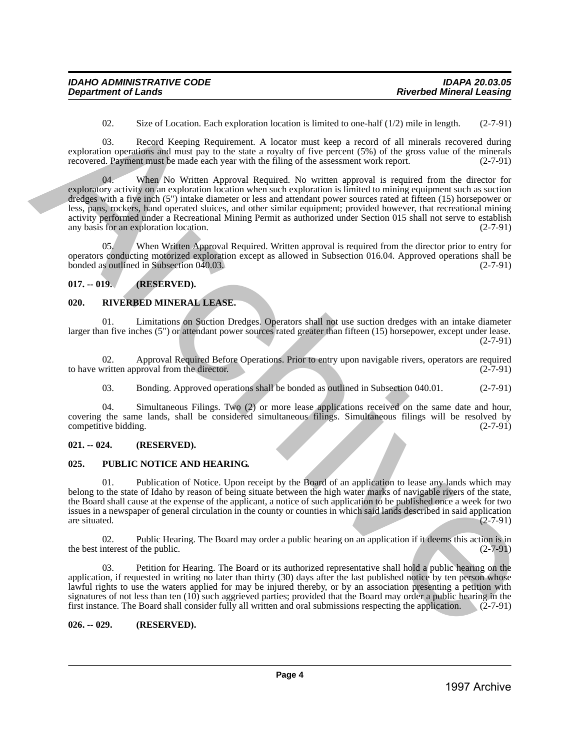02. Size of Location. Each exploration location is limited to one-half  $(1/2)$  mile in length.  $(2-7-91)$ 

03. Record Keeping Requirement. A locator must keep a record of all minerals recovered during exploration operations and must pay to the state a royalty of five percent (5%) of the gross value of the minerals recovered. Payment must be made each year with the filing of the assessment work report. (2-7-91)

When No Written Approval Required. No written approval is required from the director for exploratory activity on an exploration location when such exploration is limited to mining equipment such as suction dredges with a five inch (5") intake diameter or less and attendant power sources rated at fifteen (15) horsepower or less, pans, rockers, hand operated sluices, and other similar equipment; provided however, that recreational mining activity performed under a Recreational Mining Permit as authorized under Section 015 shall not serve to establish<br>any basis for an exploration location. (2-7-91) any basis for an exploration location. 00. Since of Location: Each coplominal bondine is initiated to each  $\Delta t$  (3) miles in case<br>
1997 Archive Archive Archive Archive Archive Archive Archive Archives Construction (4) and an analytic of the subset of the sub

05. When Written Approval Required. Written approval is required from the director prior to entry for operators conducting motorized exploration except as allowed in Subsection 016.04. Approved operations shall be bonded as outlined in Subsection 040.03.

#### <span id="page-3-0"></span>**017. -- 019. (RESERVED).**

#### <span id="page-3-1"></span>**020. RIVERBED MINERAL LEASE.**

01. Limitations on Suction Dredges. Operators shall not use suction dredges with an intake diameter larger than five inches (5") or attendant power sources rated greater than fifteen (15) horsepower, except under lease. (2-7-91)

02. Approval Required Before Operations. Prior to entry upon navigable rivers, operators are required written approval from the director. (2-7-91) to have written approval from the director.

03. Bonding. Approved operations shall be bonded as outlined in Subsection 040.01. (2-7-91)

04. Simultaneous Filings. Two (2) or more lease applications received on the same date and hour, covering the same lands, shall be considered simultaneous filings. Simultaneous filings will be resolved by competitive bidding. (2-7-91)

#### <span id="page-3-2"></span>**021. -- 024. (RESERVED).**

#### <span id="page-3-3"></span>**025. PUBLIC NOTICE AND HEARING.**

01. Publication of Notice. Upon receipt by the Board of an application to lease any lands which may belong to the state of Idaho by reason of being situate between the high water marks of navigable rivers of the state, the Board shall cause at the expense of the applicant, a notice of such application to be published once a week for two issues in a newspaper of general circulation in the county or counties in which said lands described in said application are situated. (2-7-91) are situated.  $(2-7-91)$ 

02. Public Hearing. The Board may order a public hearing on an application if it deems this action is in interest of the public. (2-7-91) the best interest of the public.

03. Petition for Hearing. The Board or its authorized representative shall hold a public hearing on the application, if requested in writing no later than thirty (30) days after the last published notice by ten person whose lawful rights to use the waters applied for may be injured thereby, or by an association presenting a petition with signatures of not less than ten (10) such aggrieved parties; provided that the Board may order a public hearing in the first instance. The Board shall consider fully all written and oral submissions respecting the application. (2-7-91)

#### <span id="page-3-4"></span>**026. -- 029. (RESERVED).**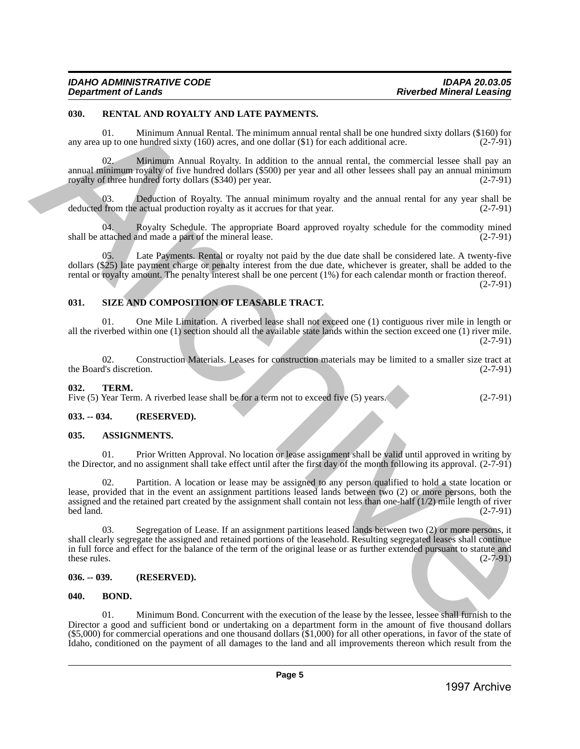#### <span id="page-4-0"></span>**030. RENTAL AND ROYALTY AND LATE PAYMENTS.**

01. Minimum Annual Rental. The minimum annual rental shall be one hundred sixty dollars (\$160) for any area up to one hundred sixty  $(160)$  acres, and one dollar  $(\text{\$1})$  for each additional acre. (2-7-91)

02. Minimum Annual Royalty. In addition to the annual rental, the commercial lessee shall pay an annual minimum royalty of five hundred dollars (\$500) per year and all other lessees shall pay an annual minimum royalty of three hundred forty dollars (\$340) per year. (2-7-91)

03. Deduction of Royalty. The annual minimum royalty and the annual rental for any year shall be deducted from the actual production royalty as it accrues for that year. (2-7-91)

04. Royalty Schedule. The appropriate Board approved royalty schedule for the commodity mined tached and made a part of the mineral lease.  $(2-7-91)$ shall be attached and made a part of the mineral lease.

Late Payments. Rental or royalty not paid by the due date shall be considered late. A twenty-five dollars (\$25) late payment charge or penalty interest from the due date, whichever is greater, shall be added to the rental or royalty amount. The penalty interest shall be one percent (1%) for each calendar month or fraction thereof.

 $(2 - 7 - 91)$ 

#### <span id="page-4-1"></span>**031. SIZE AND COMPOSITION OF LEASABLE TRACT.**

01. One Mile Limitation. A riverbed lease shall not exceed one (1) contiguous river mile in length or all the riverbed within one (1) section should all the available state lands within the section exceed one (1) river mile.  $(2 - 7 - 91)$ 

02. Construction Materials. Leases for construction materials may be limited to a smaller size tract at the Board's discretion. (2-7-91)

#### <span id="page-4-2"></span>**032. TERM.**

Five (5) Year Term. A riverbed lease shall be for a term not to exceed five (5) years. (2-7-91)

#### <span id="page-4-3"></span>**033. -- 034. (RESERVED).**

#### <span id="page-4-4"></span>**035. ASSIGNMENTS.**

01. Prior Written Approval. No location or lease assignment shall be valid until approved in writing by the Director, and no assignment shall take effect until after the first day of the month following its approval. (2-7-91)

02. Partition. A location or lease may be assigned to any person qualified to hold a state location or lease, provided that in the event an assignment partitions leased lands between two (2) or more persons, both the assigned and the retained part created by the assignment shall contain not less than one-half (1/2) mile length of river  $\text{bed land.}$  (2-7-91) 1999. **ARATAL AND IDENTIFY AND LATENTY PENALTIES** and noticed that the method is a strengthening of the strengthening of the strengthening of the strengthening of the strengthening of the strengthening of the strengtheni

03. Segregation of Lease. If an assignment partitions leased lands between two (2) or more persons, it shall clearly segregate the assigned and retained portions of the leasehold. Resulting segregated leases shall continue in full force and effect for the balance of the term of the original lease or as further extended pursuant to statute and these rules.  $(2-7-91)$ 

#### <span id="page-4-5"></span>**036. -- 039. (RESERVED).**

#### <span id="page-4-6"></span>**040. BOND.**

01. Minimum Bond. Concurrent with the execution of the lease by the lessee, lessee shall furnish to the Director a good and sufficient bond or undertaking on a department form in the amount of five thousand dollars (\$5,000) for commercial operations and one thousand dollars (\$1,000) for all other operations, in favor of the state of Idaho, conditioned on the payment of all damages to the land and all improvements thereon which result from the